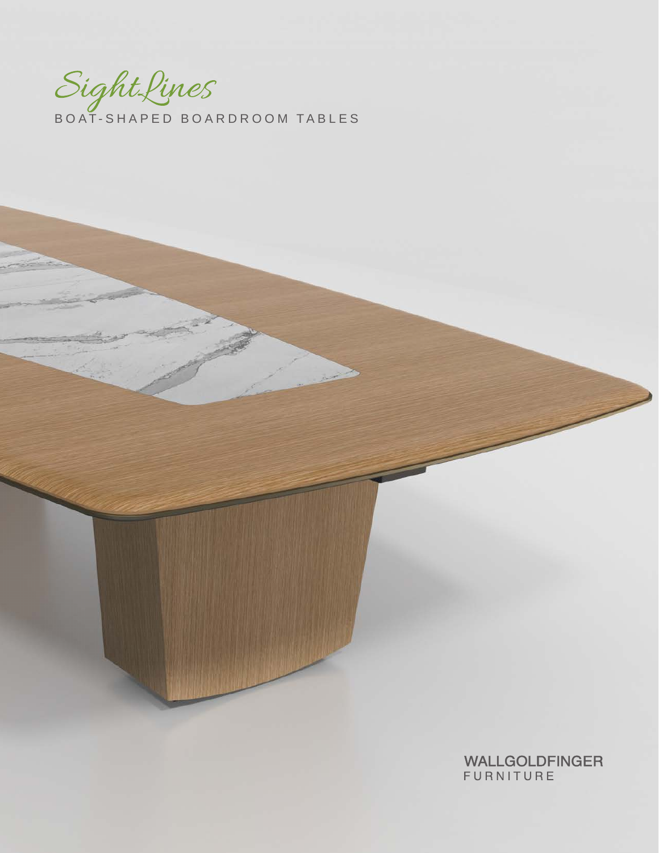Sight Lines<br>BOAT-SHAPED BOARDROOM TABLES

WALLGOLDFINGER<br>FURNITURE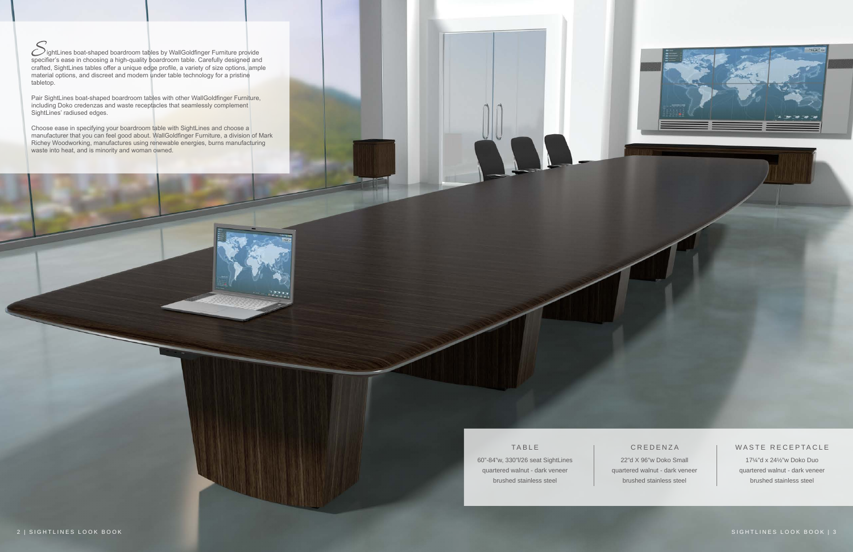

# **C R E D E N Z A**

### WASTE RECEPTACLE

# TABLE

60"-84"w, 330"l/26 seat SightLines quartered walnut - dark veneer brushed stainless steel

22"d X 96"w Doko Small quartered walnut - dark veneer brushed stainless steel

17¼"d x 24½"w Doko Duo quartered walnut - dark veneer brushed stainless steel

ightLines boat-shaped boardroom tables by WallGoldfinger Furniture provide specifier's ease in choosing a high-quality boardroom table. Carefully designed and crafted, SightLines tables offer a unique edge profile, a variety of size options, ample material options, and discreet and modern under table technology for a pristine tabletop.

Pair SightLines boat-shaped boardroom tables with other WallGoldfinger Furniture, including Doko credenzas and waste receptacles that seamlessly complement SightLines' radiused edges.

Choose ease in specifying your boardroom table with SightLines and choose a manufacturer that you can feel good about. WallGoldfinger Furniture, a division of Mark Richey Woodworking, manufactures using renewable energies, burns manufacturing waste into heat, and is minority and woman owned.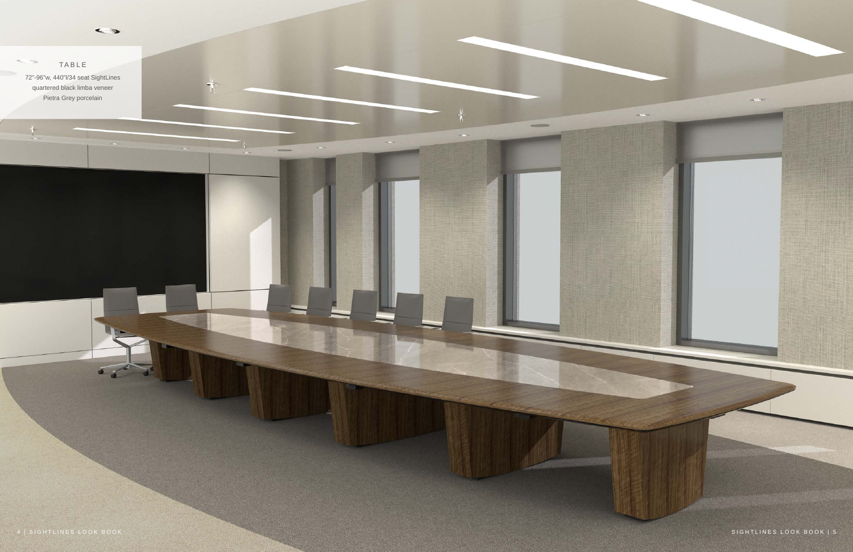$\tau$ 



 $\equiv$ 

 $\sim$ 

TABLE 72"-96"w, 440"l/34 seat SightLines quartered black limba veneer Pietra Grey porcelain

di.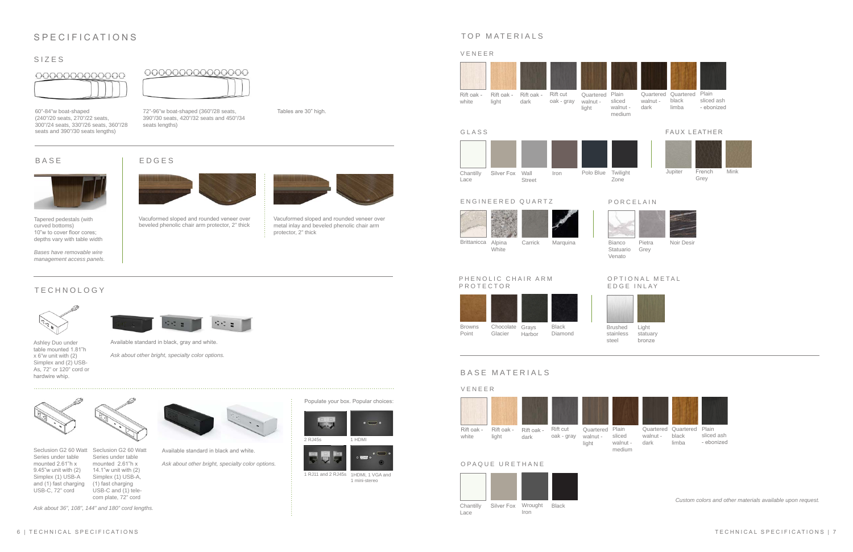









# SIZES





Vacuformed sloped and rounded veneer over beveled phenolic chair arm protector, 2" thick

# SPECIFICATIONS

# BASE



Tapered pedestals (with curved bottoms) 10"w to cover floor cores; depths vary with table width

### *Bases have removable wire management access panels.*

60"-84"w boat-shaped (240"/20 seats, 270"/22 seats, 300"/24 seats, 330"/26 seats, 360"/28 seats and 390"/30 seats lengths)





Series under table mounted 2.61"h x 9.45"w unit with (2) Simplex (1) USB-A and (1) fast charging USB-C, 72" cord

Available standard in black and white.

*Ask about other bright, specialty color options.* 



 $\frac{1}{2}$ 

1 mini-stereo

1 RJ11 and 2 RJ45s 1HDMI, 1 VGA and





Seclusion G2 60 Watt Seclusion G2 60 Watt Series under table mounted 2.61"h x 14.1"w unit with (2) Simplex (1) USB-A, (1) fast charging USB-C and (1) tele-

Populate your box. Popular choices:



Tables are 30" high.

O P T I O N A L M E T A L EDGE INLAY



Vacuformed sloped and rounded veneer over metal inlay and beveled phenolic chair arm protector, 2" thick



Bianco Pietra Noir Desir Pietra



72"-96"w boat-shaped (360"/28 seats, 390"/30 seats, 420"/32 seats and 450"/34 seats lengths)

*Ask about 36", 108", 144" and 180" cord lengths.*





GLASS

sliced ash - ebonized

Iron Chantilly Silver Fox Wall Iron Polo Blue Lace Street Polo Blue Twilight Zone



# BASE MATERIALS

*Custom colors and other materials available upon request.* 



Carrick Brittanicca Alpina Marquina White

Quartered Plain Quartered black limba walnut dark

OPAQUE URETHANE



# **TECHNOLOGY**

French Jupiter Mink Grey



# FAUX LEATHER





Statuario Grey Venato



## PORCELAIN







Brushed stainless steel

Light statuary bronze







medium

sliced ash - ebonized

Quartered Plain Quartered walnut - black limba dark



PROTECTOR

Browns Point

Black Diamond

Chocolate Grays Glacier Harbor

PHENOLIC CHAIR ARM



Ashley Duo under table mounted 1.81"h x 6"w unit with (2) Simplex and (2) USB-As, 72" or 120" cord or hardwire whip.



Available standard in black, gray and white.

*Ask about other bright, specialty color options.*